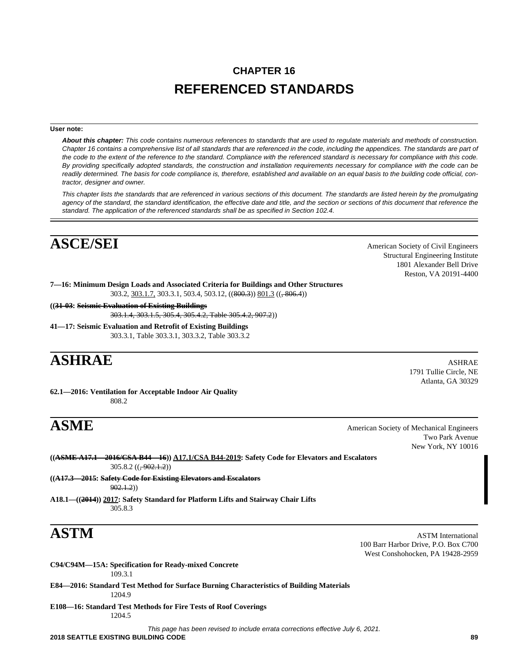# **CHAPTER 16 REFERENCED STANDARDS**

## **User note:**

*About this chapter: This code contains numerous references to standards that are used to regulate materials and methods of construction. Chapter 16 contains a comprehensive list of all standards that are referenced in the code, including the appendices. The standards are part of the code to the extent of the reference to the standard. Compliance with the referenced standard is necessary for compliance with this code. By providing specifically adopted standards, the construction and installation requirements necessary for compliance with the code can be readily determined. The basis for code compliance is, therefore, established and available on an equal basis to the building code official, contractor, designer and owner.* 

*This chapter lists the standards that are referenced in various sections of this document. The standards are listed herein by the promulgating agency of the standard, the standard identification, the effective date and title, and the section or sections of this document that reference the standard. The application of the referenced standards shall be as specified in Section 102.4.* 

# **ASCE/SEI** American Society of Civil Engineers

Structural Engineering Institute 1801 Alexander Bell Drive Reston, VA 20191-4400

**7—16: Minimum Design Loads and Associated Criteria for Buildings and Other Structures** 303.2, 303.1.7, 303.3.1, 503.4, 503.12, ((800.3)) 801.3 ((, 806.4))

**((31-03: Seismic Evaluation of Existing Buildings** 303.1.4, 303.1.5, 305.4, 305.4.2, Table 305.4.2, 907.2))

**41—17: Seismic Evaluation and Retrofit of Existing Buildings** 303.3.1, Table 303.3.1, 303.3.2, Table 303.3.2

# **ASHRAE** ASHRAE

**62.1—2016: Ventilation for Acceptable Indoor Air Quality** 808.2

1791 Tullie Circle, NE Atlanta, GA 30329

**ASME** American Society of Mechanical Engineers Two Park Avenue New York, NY 10016

**((ASME A17.1—2016/CSA B44—16)) A17.1/CSA B44-2019: Safety Code for Elevators and Escalators**  $305.8.2 ((,-902.1.2))$ 

**((A17.3—2015: Safety Code for Existing Elevators and Escalators**  $902.1.2)$ 

**A18.1—((2014)) 2017: Safety Standard for Platform Lifts and Stairway Chair Lifts** 305.8.3

**ASTM** ASTM International 100 Barr Harbor Drive, P.O. Box C700 West Conshohocken, PA 19428-2959

**C94/C94M—15A: Specification for Ready-mixed Concrete** 109.3.1

**E84—2016: Standard Test Method for Surface Burning Characteristics of Building Materials** 1204.9

**E108—16: Standard Test Methods for Fire Tests of Roof Coverings** 1204.5

*This page has been revised to include errata corrections effective July 6, 2021.*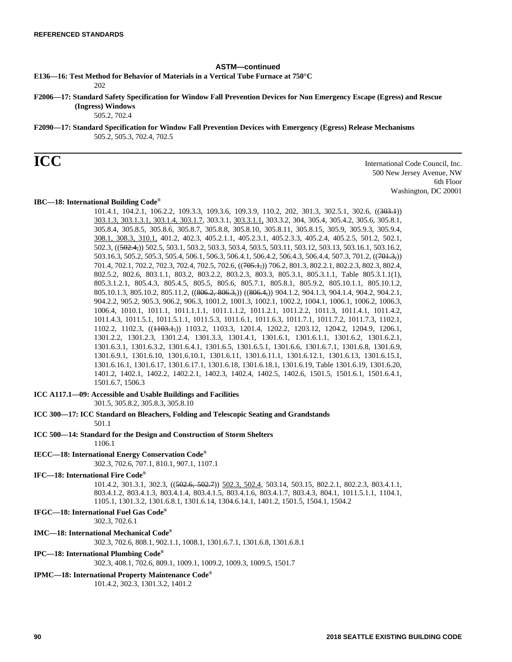## **ASTM—continued**

**E136—16: Test Method for Behavior of Materials in a Vertical Tube Furnace at 750°C**

202

**F2006—17: Standard Safety Specification for Window Fall Prevention Devices for Non Emergency Escape (Egress) and Rescue (Ingress) Windows**

505.2, 702.4

**F2090—17: Standard Specification for Window Fall Prevention Devices with Emergency (Egress) Release Mechanisms** 505.2, 505.3, 702.4, 702.5

**ICC** International Code Council, Inc. 500 New Jersey Avenue, NW 6th Floor Washington, DC 20001

# **IBC—18: International Building Code®**

101.4.1, 104.2.1, 106.2.2, 109.3.3, 109.3.6, 109.3.9, 110.2, 202, 301.3, 302.5.1, 302.6, ((303.1)) 303.1.3, 303.1.3.1, 303.1.4, 303.1.7, 303.3.1, 303.3.1.1, 303.3.2, 304, 305.4, 305.4.2, 305.6, 305.8.1, 305.8.4, 305.8.5, 305.8.6, 305.8.7, 305.8.8, 305.8.10, 305.8.11, 305.8.15, 305.9, 305.9.3, 305.9.4, 308.1, 308.3, 310.1, 401.2, 402.3, 405.2.1.1, 405.2.3.1, 405.2.3.3, 405.2.4, 405.2.5, 501.2, 502.1, 502.3, ((502.4,)) 502.5, 503.1, 503.2, 503.3, 503.4, 503.5, 503.11, 503.12, 503.13, 503.16.1, 503.16.2, 503.16.3, 505.2, 505.3, 505.4, 506.1, 506.3, 506.4.1, 506.4.2, 506.4.3, 506.4.4, 507.3, 701.2, ((701.3,)) 701.4, 702.1, 702.2, 702.3, 702.4, 702.5, 702.6, ((705.1,)) 706.2, 801.3, 802.2.1, 802.2.3, 802.3, 802.4, 802.5.2, 802.6, 803.1.1, 803.2, 803.2.2, 803.2.3, 803.3, 805.3.1, 805.3.1.1, Table 805.3.1.1(1), 805.3.1.2.1, 805.4.3, 805.4.5, 805.5, 805.6, 805.7.1, 805.8.1, 805.9.2, 805.10.1.1, 805.10.1.2, 805.10.1.3, 805.10.2, 805.11.2, ((806.2, 806.3,)) ((806.4,)) 904.1.2, 904.1.3, 904.1.4, 904.2, 904.2.1, 904.2.2, 905.2, 905.3, 906.2, 906.3, 1001.2, 1001.3, 1002.1, 1002.2, 1004.1, 1006.1, 1006.2, 1006.3, 1006.4, 1010.1, 1011.1, 1011.1.1.1, 1011.1.1.2, 1011.2.1, 1011.2.2, 1011.3, 1011.4.1, 1011.4.2, 1011.4.3, 1011.5.1, 1011.5.1.1, 1011.5.3, 1011.6.1, 1011.6.3, 1011.7.1, 1011.7.2, 1011.7.3, 1102.1, 1102.2, 1102.3, ((1103.1,)) 1103.2, 1103.3, 1201.4, 1202.2, 1203.12, 1204.2, 1204.9, 1206.1, 1301.2.2, 1301.2.3, 1301.2.4, 1301.3.3, 1301.4.1, 1301.6.1, 1301.6.1.1, 1301.6.2, 1301.6.2.1, 1301.6.3.1, 1301.6.3.2, 1301.6.4.1, 1301.6.5, 1301.6.5.1, 1301.6.6, 1301.6.7.1, 1301.6.8, 1301.6.9, 1301.6.9.1, 1301.6.10, 1301.6.10.1, 1301.6.11, 1301.6.11.1, 1301.6.12.1, 1301.6.13, 1301.6.15.1, 1301.6.16.1, 1301.6.17, 1301.6.17.1, 1301.6.18, 1301.6.18.1, 1301.6.19, Table 1301.6.19, 1301.6.20, 1401.2, 1402.1, 1402.2, 1402.2.1, 1402.3, 1402.4, 1402.5, 1402.6, 1501.5, 1501.6.1, 1501.6.4.1, 1501.6.7, 1506.3

# **ICC A117.1—09: Accessible and Usable Buildings and Facilities**

301.5, 305.8.2, 305.8.3, 305.8.10

**ICC 300—17: ICC Standard on Bleachers, Folding and Telescopic Seating and Grandstands** 501.1

**ICC 500—14: Standard for the Design and Construction of Storm Shelters**

1106.1

# **IECC—18: International Energy Conservation Code®**

302.3, 702.6, 707.1, 810.1, 907.1, 1107.1

## **IFC—18: International Fire Code®**

101.4.2, 301.3.1, 302.3, ((502.6, 502.7)) 502.3, 502.4, 503.14, 503.15, 802.2.1, 802.2.3, 803.4.1.1, 803.4.1.2, 803.4.1.3, 803.4.1.4, 803.4.1.5, 803.4.1.6, 803.4.1.7, 803.4.3, 804.1, 1011.5.1.1, 1104.1, 1105.1, 1301.3.2, 1301.6.8.1, 1301.6.14, 1304.6.14.1, 1401.2, 1501.5, 1504.1, 1504.2

# **IFGC—18: International Fuel Gas Code®**

302.3, 702.6.1

# **IMC—18: International Mechanical Code®**

302.3, 702.6, 808.1, 902.1.1, 1008.1, 1301.6.7.1, 1301.6.8, 1301.6.8.1

## **IPC—18: International Plumbing Code®**

302.3, 408.1, 702.6, 809.1, 1009.1, 1009.2, 1009.3, 1009.5, 1501.7

# **IPMC—18: International Property Maintenance Code®**

101.4.2, 302.3, 1301.3.2, 1401.2